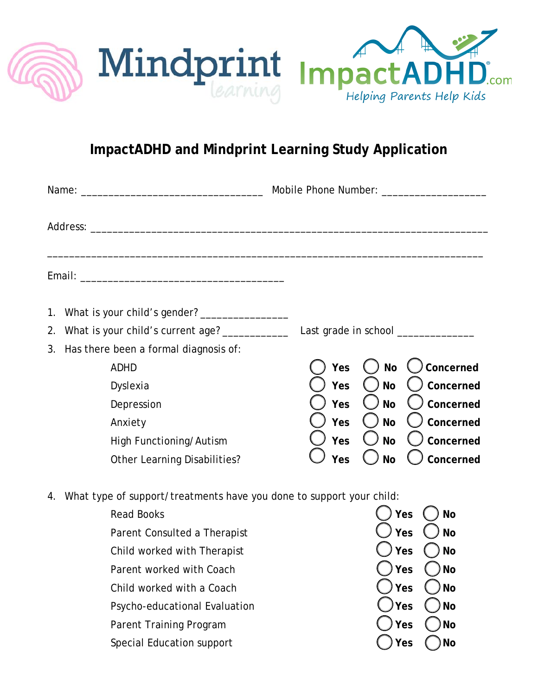

## **ImpactADHD and Mindprint Learning Study Application**

|                                                                            |                                                   | Mobile Phone Number: _____________________ |                        |
|----------------------------------------------------------------------------|---------------------------------------------------|--------------------------------------------|------------------------|
|                                                                            |                                                   |                                            |                        |
|                                                                            |                                                   |                                            |                        |
| 1.                                                                         |                                                   |                                            |                        |
|                                                                            | 2. What is your child's current age? ____________ | Last grade in school _____________         |                        |
| 3.                                                                         | Has there been a formal diagnosis of:             |                                            |                        |
|                                                                            | <b>ADHD</b>                                       | Yes                                        | Concerned<br><b>No</b> |
|                                                                            | Dyslexia                                          | Yes                                        | Concerned<br><b>No</b> |
|                                                                            | Depression                                        | Yes                                        | Concerned<br><b>No</b> |
|                                                                            | Anxiety                                           | Yes                                        | Concerned<br><b>No</b> |
|                                                                            | High Functioning/Autism                           | Yes                                        | <b>No</b><br>Concerned |
|                                                                            | <b>Other Learning Disabilities?</b>               | Yes                                        | Concerned<br><b>No</b> |
| What type of support/treatments have you done to support your child:<br>4. |                                                   |                                            |                        |
| <b>Read Books</b>                                                          |                                                   | Yes<br><b>No</b>                           |                        |
|                                                                            | Parent Consulted a Therapist                      |                                            | Yes<br><b>No</b>       |
|                                                                            | Child worked with Therapist                       |                                            | Yes<br><b>No</b>       |
|                                                                            | Parent worked with Coach                          |                                            | Yes<br><b>No</b>       |
|                                                                            | Child worked with a Coach                         |                                            | Yes<br><b>No</b>       |
|                                                                            | Psycho-educational Evaluation                     |                                            | Yes<br><b>No</b>       |
|                                                                            | Parent Training Program                           |                                            | <b>No</b><br>Yes       |
|                                                                            | Special Education support                         |                                            | Yes<br><b>No</b>       |